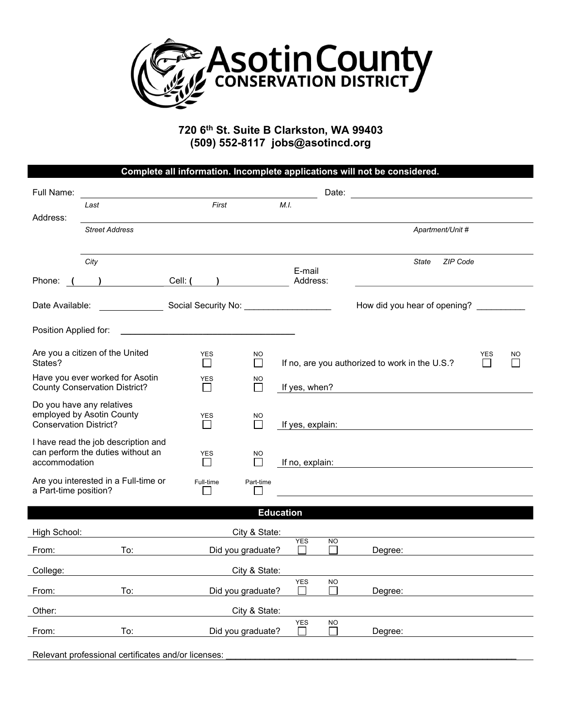

720 6th St. Suite B Clarkston, WA 99403 (509) 552-8117 jobs@asotincd.org

|                                                                                           |                       |                                                                                                                |                                    |                  |           | Complete all information. Incomplete applications will not be considered. |                 |    |  |  |
|-------------------------------------------------------------------------------------------|-----------------------|----------------------------------------------------------------------------------------------------------------|------------------------------------|------------------|-----------|---------------------------------------------------------------------------|-----------------|----|--|--|
| Full Name:                                                                                |                       |                                                                                                                |                                    |                  | Date:     |                                                                           |                 |    |  |  |
|                                                                                           | Last                  | First                                                                                                          |                                    | M.I.             |           |                                                                           |                 |    |  |  |
| Address:                                                                                  | <b>Street Address</b> |                                                                                                                |                                    |                  |           | Apartment/Unit #                                                          |                 |    |  |  |
| Phone:                                                                                    | City                  | Cell: (                                                                                                        |                                    | E-mail           |           | <b>ZIP Code</b><br>State                                                  |                 |    |  |  |
|                                                                                           |                       |                                                                                                                |                                    | Address:         |           |                                                                           |                 |    |  |  |
| Date Available:                                                                           |                       | Social Security No: North Contract Control Contract Control Control Control Control Control Control Control Co | How did you hear of opening?       |                  |           |                                                                           |                 |    |  |  |
| Position Applied for:                                                                     |                       |                                                                                                                |                                    |                  |           |                                                                           |                 |    |  |  |
| Are you a citizen of the United<br>States?                                                |                       | <b>YES</b><br>$\mathsf{L}$                                                                                     | NO.<br>$\mathbf{L}$                |                  |           | If no, are you authorized to work in the U.S.?                            | <b>YES</b><br>H | NO |  |  |
| Have you ever worked for Asotin<br><b>County Conservation District?</b>                   |                       | <b>YES</b><br>ΙI                                                                                               | <b>NO</b><br>$\mathbf{L}$          | If yes, when?    |           |                                                                           |                 |    |  |  |
| Do you have any relatives<br>employed by Asotin County<br><b>Conservation District?</b>   |                       | <b>YES</b><br>$\mathbf{I}$                                                                                     | NO                                 | If yes, explain: |           |                                                                           |                 |    |  |  |
| I have read the job description and<br>can perform the duties without an<br>accommodation |                       | <b>YES</b><br>$\Box$                                                                                           | NO<br>$\mathbf{L}$                 | If no, explain:  |           |                                                                           |                 |    |  |  |
| Are you interested in a Full-time or<br>a Part-time position?                             |                       | Full-time                                                                                                      | Part-time                          |                  |           |                                                                           |                 |    |  |  |
|                                                                                           |                       |                                                                                                                |                                    | <b>Education</b> |           |                                                                           |                 |    |  |  |
| High School:                                                                              |                       |                                                                                                                |                                    |                  |           |                                                                           |                 |    |  |  |
| From:                                                                                     | To:                   |                                                                                                                | City & State:<br>Did you graduate? | <b>YES</b>       | NO.       | Degree:                                                                   |                 |    |  |  |
| College:                                                                                  |                       |                                                                                                                | City & State:                      |                  |           |                                                                           |                 |    |  |  |
| From:                                                                                     | To:                   |                                                                                                                | Did you graduate?                  | YES              | <b>NO</b> | Degree:                                                                   |                 |    |  |  |
| Other:                                                                                    |                       |                                                                                                                | City & State:                      |                  |           |                                                                           |                 |    |  |  |
| From:                                                                                     | To:                   |                                                                                                                | Did you graduate?                  | <b>YES</b>       | <b>NO</b> | Degree:                                                                   |                 |    |  |  |
| Relevant professional certificates and/or licenses:                                       |                       |                                                                                                                |                                    |                  |           |                                                                           |                 |    |  |  |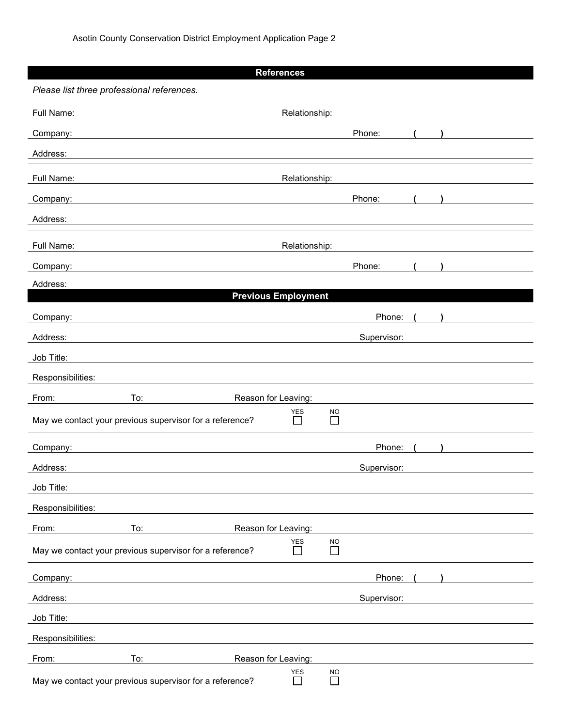|                                            |                                                          | <b>References</b>          |                            |                     |             |  |
|--------------------------------------------|----------------------------------------------------------|----------------------------|----------------------------|---------------------|-------------|--|
| Please list three professional references. |                                                          |                            |                            |                     |             |  |
| Full Name:                                 |                                                          |                            | Relationship:              |                     |             |  |
| Company:                                   |                                                          |                            |                            |                     | Phone:      |  |
| Address:                                   |                                                          |                            |                            |                     |             |  |
| Full Name:                                 |                                                          |                            | Relationship:              |                     |             |  |
| Company:                                   |                                                          |                            |                            |                     | Phone:      |  |
| Address:                                   |                                                          |                            |                            |                     |             |  |
| Full Name:                                 |                                                          |                            | Relationship:              |                     |             |  |
| Company:                                   |                                                          |                            |                            |                     | Phone:      |  |
| Address:                                   |                                                          |                            |                            |                     |             |  |
|                                            |                                                          | <b>Previous Employment</b> |                            |                     |             |  |
| Company:                                   |                                                          |                            |                            |                     | Phone:      |  |
| Address:                                   |                                                          |                            |                            |                     | Supervisor: |  |
| Job Title:                                 |                                                          |                            |                            |                     |             |  |
| Responsibilities:                          |                                                          |                            |                            |                     |             |  |
| From:                                      | To:                                                      | Reason for Leaving:        |                            |                     |             |  |
|                                            | May we contact your previous supervisor for a reference? |                            | <b>YES</b><br>$\mathsf{L}$ | <b>NO</b><br>$\Box$ |             |  |
| Company:                                   |                                                          |                            |                            |                     | Phone:      |  |
| Address:                                   |                                                          |                            |                            |                     | Supervisor: |  |
| Job Title:                                 |                                                          |                            |                            |                     |             |  |
| Responsibilities:                          |                                                          |                            |                            |                     |             |  |
| From:                                      | To:                                                      | Reason for Leaving:        |                            |                     |             |  |
|                                            | May we contact your previous supervisor for a reference? |                            | YES<br>$\Box$              | <b>NO</b><br>$\Box$ |             |  |
| Company:                                   |                                                          |                            |                            |                     | Phone:      |  |
| Address:                                   |                                                          |                            |                            |                     | Supervisor: |  |
| Job Title:                                 |                                                          |                            |                            |                     |             |  |
| Responsibilities:                          |                                                          |                            |                            |                     |             |  |
| From:                                      | To:                                                      | Reason for Leaving:        |                            |                     |             |  |
|                                            | May we contact your previous supervisor for a reference? |                            | YES<br>$\Box$              | <b>NO</b><br>$\Box$ |             |  |